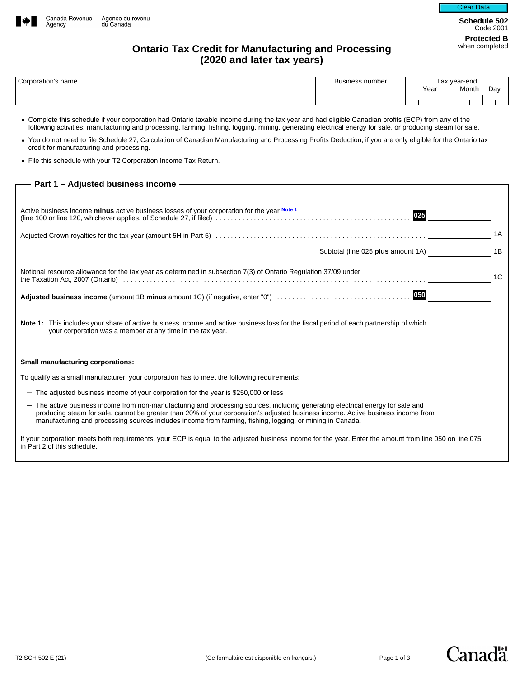



**Schedule 502**  Code 2001 **Protected B** 

## **Ontario Tax Credit for Manufacturing and Processing (2020 and later tax years)**

| Corporation's name | Business number | Гах vear-end |       |     |
|--------------------|-----------------|--------------|-------|-----|
|                    |                 | Year         | Month | Day |
|                    |                 |              |       |     |

• Complete this schedule if your corporation had Ontario taxable income during the tax year and had eligible Canadian profits (ECP) from any of the following activities: manufacturing and processing, farming, fishing, logging, mining, generating electrical energy for sale, or producing steam for sale.

- You do not need to file Schedule 27, Calculation of Canadian Manufacturing and Processing Profits Deduction, if you are only eligible for the Ontario tax credit for manufacturing and processing.
- File this schedule with your T2 Corporation Income Tax Return.

| Active business income minus active business losses of your corporation for the year Note 1<br>025                                                                                                                                                                                                                                                                               |
|----------------------------------------------------------------------------------------------------------------------------------------------------------------------------------------------------------------------------------------------------------------------------------------------------------------------------------------------------------------------------------|
| 1A                                                                                                                                                                                                                                                                                                                                                                               |
| Subtotal (line 025 plus amount 1A)<br>1B                                                                                                                                                                                                                                                                                                                                         |
| Notional resource allowance for the tax year as determined in subsection 7(3) of Ontario Regulation 37/09 under<br>1C                                                                                                                                                                                                                                                            |
|                                                                                                                                                                                                                                                                                                                                                                                  |
| Note 1: This includes your share of active business income and active business loss for the fiscal period of each partnership of which<br>your corporation was a member at any time in the tax year.                                                                                                                                                                             |
| <b>Small manufacturing corporations:</b>                                                                                                                                                                                                                                                                                                                                         |
| To qualify as a small manufacturer, your corporation has to meet the following requirements:                                                                                                                                                                                                                                                                                     |
| - The adjusted business income of your corporation for the year is \$250,000 or less                                                                                                                                                                                                                                                                                             |
| - The active business income from non-manufacturing and processing sources, including generating electrical energy for sale and<br>producing steam for sale, cannot be greater than 20% of your corporation's adjusted business income. Active business income from<br>manufacturing and processing sources includes income from farming, fishing, logging, or mining in Canada. |
| If your corporation meets both requirements, your ECP is equal to the adjusted business income for the year. Enter the amount from line 050 on line 075<br>in Part 2 of this schedule.                                                                                                                                                                                           |

**Canada**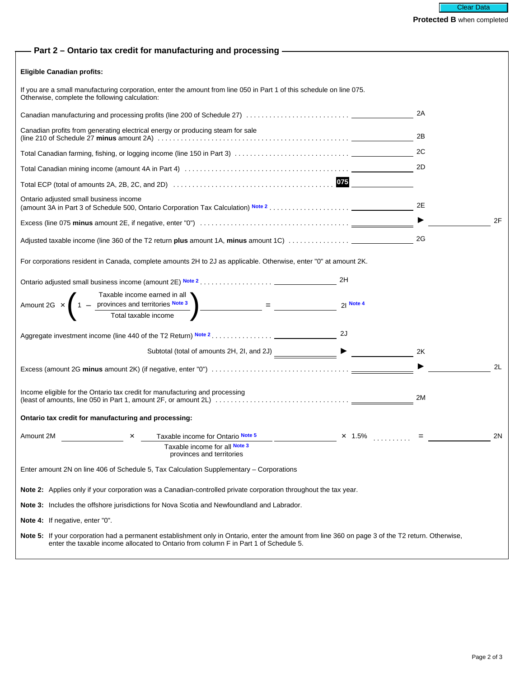| Part 2 - Ontario tax credit for manufacturing and processing - The Manuscription                                                                                                                                                         |             |    |
|------------------------------------------------------------------------------------------------------------------------------------------------------------------------------------------------------------------------------------------|-------------|----|
| <b>Eligible Canadian profits:</b>                                                                                                                                                                                                        |             |    |
| If you are a small manufacturing corporation, enter the amount from line 050 in Part 1 of this schedule on line 075.<br>Otherwise, complete the following calculation:                                                                   |             |    |
|                                                                                                                                                                                                                                          |             | 2A |
| Canadian profits from generating electrical energy or producing steam for sale                                                                                                                                                           |             | 2B |
|                                                                                                                                                                                                                                          |             | 2C |
|                                                                                                                                                                                                                                          |             | 2D |
|                                                                                                                                                                                                                                          |             |    |
| Ontario adjusted small business income                                                                                                                                                                                                   |             | 2E |
|                                                                                                                                                                                                                                          |             | 2F |
|                                                                                                                                                                                                                                          |             | 2G |
| For corporations resident in Canada, complete amounts 2H to 2J as applicable. Otherwise, enter "0" at amount 2K.                                                                                                                         |             |    |
|                                                                                                                                                                                                                                          | 2H          |    |
| Taxable income earned in all<br>Amount 2G $\times$ $\left(1 - \frac{\text{provinces and territories Note 3}}{\text{Total taxable income}}\right) = \frac{1}{\frac{1}{\frac{1}{\sqrt{1}}}}$                                               | $21$ Note 4 |    |
|                                                                                                                                                                                                                                          |             |    |
|                                                                                                                                                                                                                                          | 2J          |    |
|                                                                                                                                                                                                                                          |             | 2K |
|                                                                                                                                                                                                                                          |             | 2L |
| Income eligible for the Ontario tax credit for manufacturing and processing                                                                                                                                                              |             | 2M |
| Ontario tax credit for manufacturing and processing:                                                                                                                                                                                     |             |    |
|                                                                                                                                                                                                                                          |             |    |
| Amount 2M<br>Taxable income for Ontario Note 5<br>×<br>Taxable income for all Note 3<br>provinces and territories                                                                                                                        | $x$ 1.5%    | 2N |
| Enter amount 2N on line 406 of Schedule 5, Tax Calculation Supplementary – Corporations                                                                                                                                                  |             |    |
| Note 2: Applies only if your corporation was a Canadian-controlled private corporation throughout the tax year.                                                                                                                          |             |    |
| <b>Note 3:</b> Includes the offshore jurisdictions for Nova Scotia and Newfoundland and Labrador.                                                                                                                                        |             |    |
| Note 4: If negative, enter "0".                                                                                                                                                                                                          |             |    |
| Note 5: If your corporation had a permanent establishment only in Ontario, enter the amount from line 360 on page 3 of the T2 return. Otherwise,<br>enter the taxable income allocated to Ontario from column F in Part 1 of Schedule 5. |             |    |